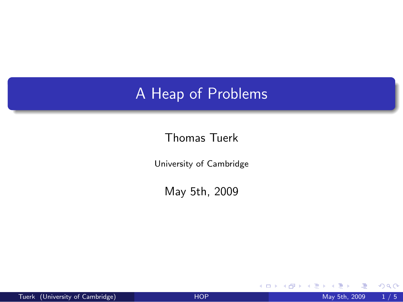## A Heap of Problems

## Thomas Tuerk

University of Cambridge

May 5th, 2009

4 0 8 4

<span id="page-0-0"></span> $299$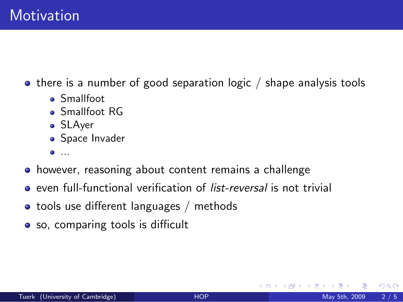$\bullet$  there is a number of good separation logic / shape analysis tools

- Smallfoot
- Smallfoot RG
- SLAyer
- **Space Invader**
- $\bullet$  ...
- however, reasoning about content remains a challenge
- **e** even full-functional verification of *list-reversal* is not trivial
- tools use different languages / methods
- so, comparing tools is difficult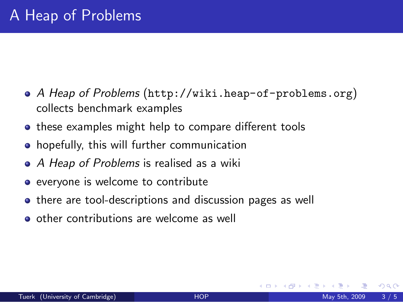- A Heap of Problems (<http://wiki.heap-of-problems.org>) collects benchmark examples
- these examples might help to compare different tools
- **•** hopefully, this will further communication
- A Heap of Problems is realised as a wiki
- everyone is welcome to contribute
- **•** there are tool-descriptions and discussion pages as well
- o other contributions are welcome as well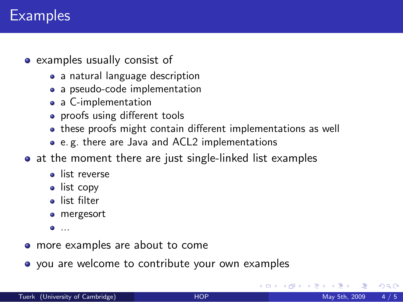## **Examples**

- examples usually consist of
	- a natural language description
	- a pseudo-code implementation
	- a C-implementation
	- proofs using different tools
	- these proofs might contain different implementations as well
	- e. g. there are Java and ACL2 implementations
- at the moment there are just single-linked list examples
	- **o** list reverse
	- list copy
	- **a** list filter
	- **o** mergesort
	- $\bullet$  ...
- more examples are about to come
- you are welcome to contribute your own examples